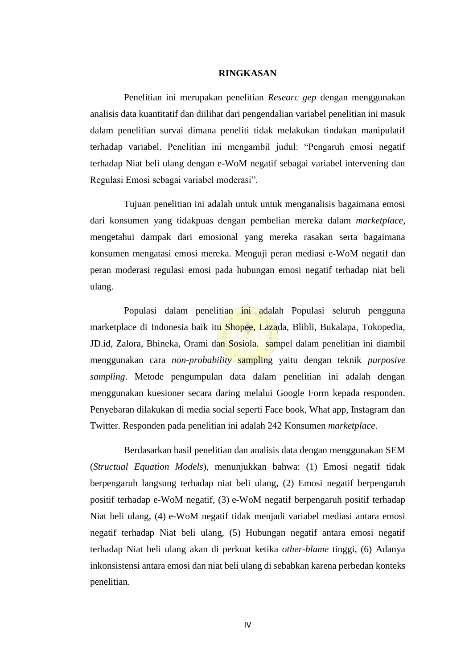## **RINGKASAN**

Penelitian ini merupakan penelitian *Researc gep* dengan menggunakan analisis data kuantitatif dan diilihat dari pengendalian variabel penelitian ini masuk dalam penelitian survai dimana peneliti tidak melakukan tindakan manipulatif terhadap variabel. Penelitian ini mengambil judul: "Pengaruh emosi negatif terhadap Niat beli ulang dengan e-WoM negatif sebagai variabel intervening dan Regulasi Emosi sebagai variabel moderasi".

Tujuan penelitian ini adalah untuk untuk menganalisis bagaimana emosi dari konsumen yang tidakpuas dengan pembelian mereka dalam *marketplace*, mengetahui dampak dari emosional yang mereka rasakan serta bagaimana konsumen mengatasi emosi mereka. Menguji peran mediasi e-WoM negatif dan peran moderasi regulasi emosi pada hubungan emosi negatif terhadap niat beli ulang.

Populasi dalam penelitian ini adalah Populasi seluruh pengguna marketplace di Indonesia baik itu Shopee, Lazada, Blibli, Bukalapa, Tokopedia, JD.id, Zalora, Bhineka, Orami dan Sosiola. sampel dalam penelitian ini diambil menggunakan cara *non-probability* sampling yaitu dengan teknik *purposive sampling*. Metode pengumpulan data dalam penelitian ini adalah dengan menggunakan kuesioner secara daring melalui Google Form kepada responden. Penyebaran dilakukan di media social seperti Face book, What app, Instagram dan Twitter. Responden pada penelitian ini adalah 242 Konsumen *marketplace*.

Berdasarkan hasil penelitian dan analisis data dengan menggunakan SEM (*Structual Equation Models*), menunjukkan bahwa: (1) Emosi negatif tidak berpengaruh langsung terhadap niat beli ulang, (2) Emosi negatif berpengaruh positif terhadap e-WoM negatif*,* (3) e-WoM negatif berpengaruh positif terhadap Niat beli ulang, (4) e-WoM negatif tidak menjadi variabel mediasi antara emosi negatif terhadap Niat beli ulang, (5) Hubungan negatif antara emosi negatif terhadap Niat beli ulang akan di perkuat ketika *other-blame* tinggi, (6) Adanya inkonsistensi antara emosi dan niat beli ulang di sebabkan karena perbedan konteks penelitian.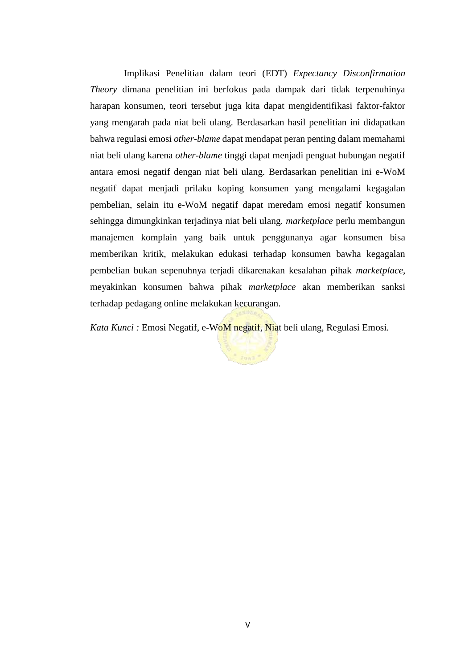Implikasi Penelitian dalam teori (EDT) *Expectancy Disconfirmation Theory* dimana penelitian ini berfokus pada dampak dari tidak terpenuhinya harapan konsumen, teori tersebut juga kita dapat mengidentifikasi faktor-faktor yang mengarah pada niat beli ulang. Berdasarkan hasil penelitian ini didapatkan bahwa regulasi emosi *other-blame* dapat mendapat peran penting dalam memahami niat beli ulang karena *other-blame* tinggi dapat menjadi penguat hubungan negatif antara emosi negatif dengan niat beli ulang. Berdasarkan penelitian ini e-WoM negatif dapat menjadi prilaku koping konsumen yang mengalami kegagalan pembelian, selain itu e-WoM negatif dapat meredam emosi negatif konsumen sehingga dimungkinkan terjadinya niat beli ulang*. marketplace* perlu membangun manajemen komplain yang baik untuk penggunanya agar konsumen bisa memberikan kritik, melakukan edukasi terhadap konsumen bawha kegagalan pembelian bukan sepenuhnya terjadi dikarenakan kesalahan pihak *marketplace*, meyakinkan konsumen bahwa pihak *marketplace* akan memberikan sanksi terhadap pedagang online melakukan kecurangan.

*Kata Kunci :* Emosi Negatif, e-WoM negatif, Niat beli ulang*,* Regulasi Emosi*.*

 $\frac{1}{2}$  font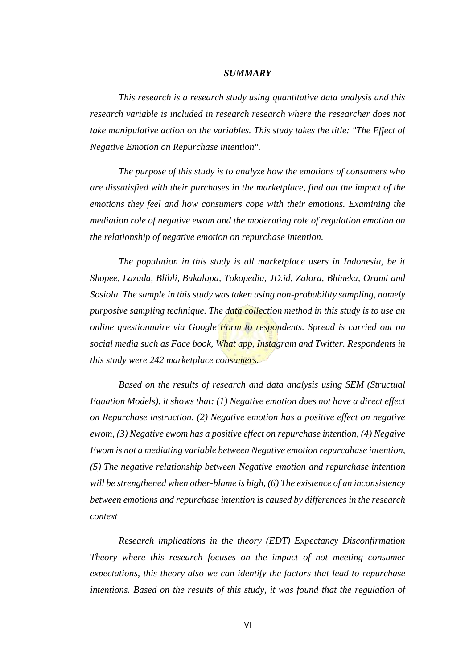## *SUMMARY*

*This research is a research study using quantitative data analysis and this research variable is included in research research where the researcher does not take manipulative action on the variables. This study takes the title: "The Effect of Negative Emotion on Repurchase intention".*

*The purpose of this study is to analyze how the emotions of consumers who are dissatisfied with their purchases in the marketplace, find out the impact of the emotions they feel and how consumers cope with their emotions. Examining the mediation role of negative ewom and the moderating role of regulation emotion on the relationship of negative emotion on repurchase intention.*

*The population in this study is all marketplace users in Indonesia, be it Shopee, Lazada, Blibli, Bukalapa, Tokopedia, JD.id, Zalora, Bhineka, Orami and Sosiola. The sample in this study was taken using non-probability sampling, namely purposive sampling technique. The data collection method in this study is to use an online questionnaire via Google Form to respondents. Spread is carried out on social media such as Face book, What app, Instagram and Twitter. Respondents in this study were 242 marketplace consumers.*

*Based on the results of research and data analysis using SEM (Structual Equation Models), it shows that: (1) Negative emotion does not have a direct effect on Repurchase instruction, (2) Negative emotion has a positive effect on negative ewom, (3) Negative ewom has a positive effect on repurchase intention, (4) Negaive Ewom is not a mediating variable between Negative emotion repurcahase intention, (5) The negative relationship between Negative emotion and repurchase intention will be strengthened when other-blame is high, (6) The existence of an inconsistency between emotions and repurchase intention is caused by differences in the research context*

*Research implications in the theory (EDT) Expectancy Disconfirmation Theory where this research focuses on the impact of not meeting consumer expectations, this theory also we can identify the factors that lead to repurchase intentions. Based on the results of this study, it was found that the regulation of*